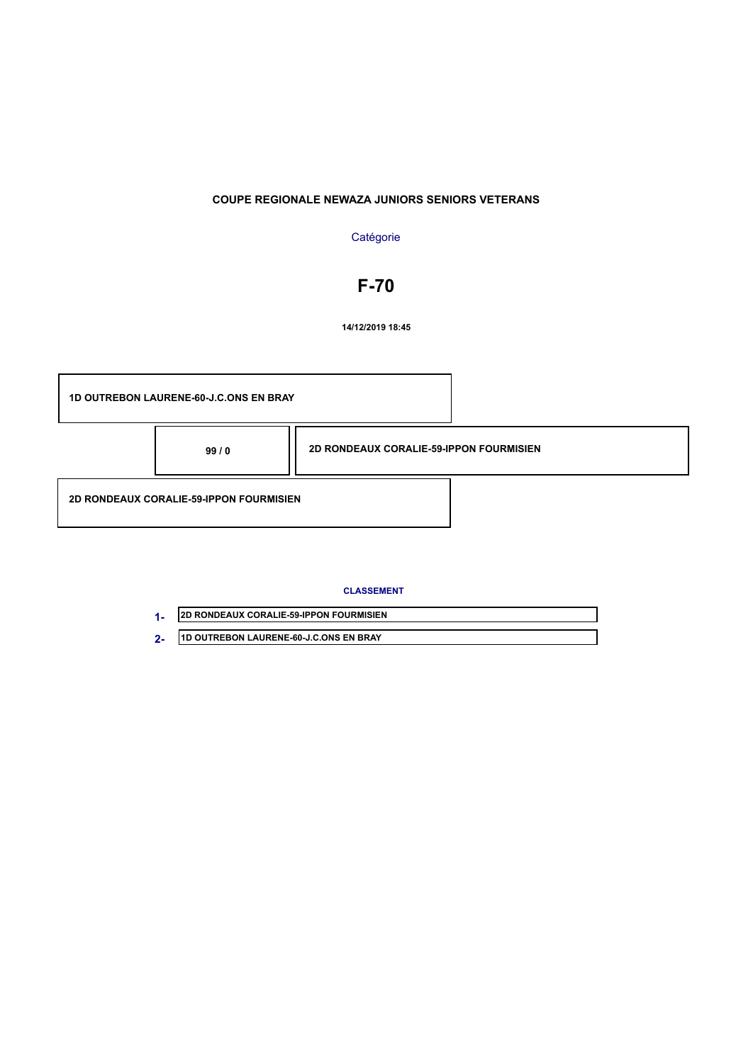### **Catégorie**

# **F-70**

**14/12/2019 18:45**



| <b>2D RONDEAUX CORALIE-59-IPPON FOURMISIEN</b> |
|------------------------------------------------|
| 11D OUTREBON LAURENE-60-J.C.ONS EN BRAY        |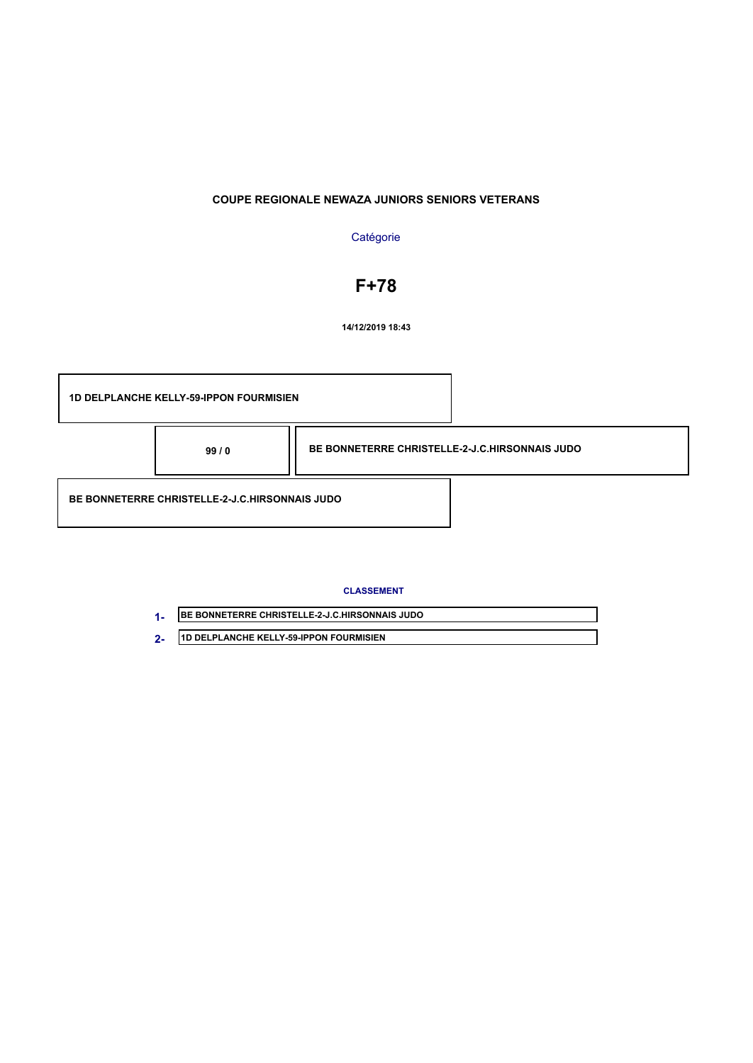### **Catégorie**

# **F+78**

**14/12/2019 18:43**

**1D DELPLANCHE KELLY-59-IPPON FOURMISIEN BE BONNETERRE CHRISTELLE-2-J.C.HIRSONNAIS JUDO 99 / 0 BE BONNETERRE CHRISTELLE-2-J.C.HIRSONNAIS JUDO**

| <b>JBE BONNETERRE CHRISTELLE-2-J.C.HIRSONNAIS JUDO</b> |
|--------------------------------------------------------|
| <b>11D DELPLANCHE KELLY-59-IPPON FOURMISIEN</b>        |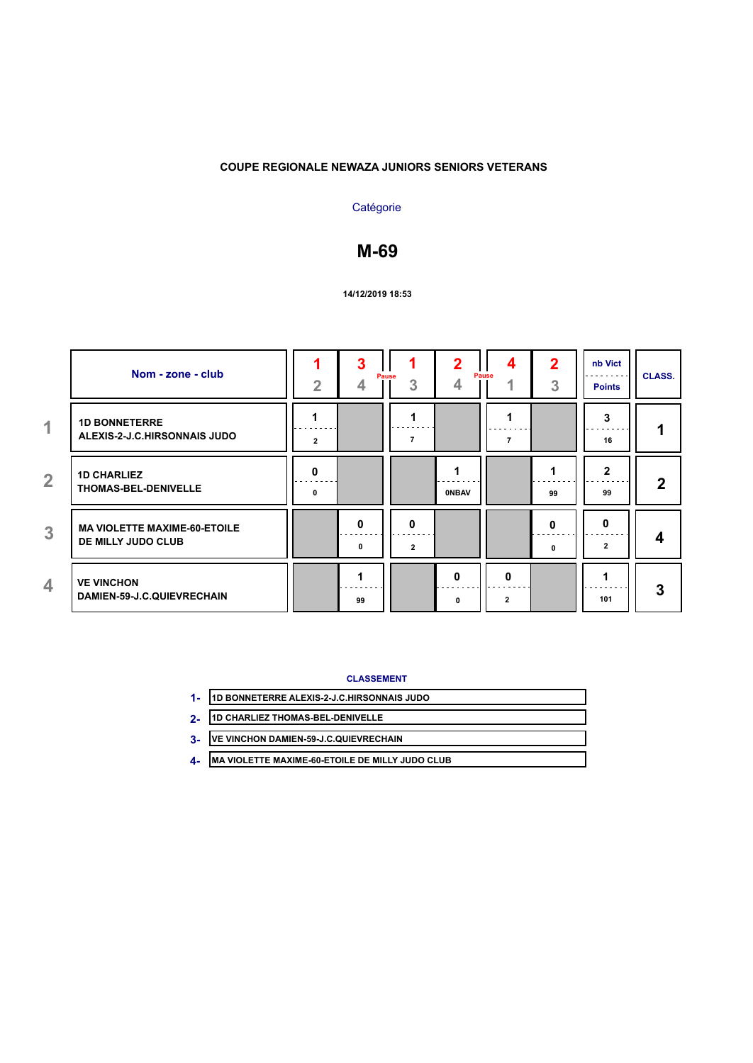### **Catégorie**

# **M-69**

#### **14/12/2019 18:53**

|                | Nom - zone - club                                         | $\overline{2}$               | 3                 | Pause<br>3          | 2<br>4       | 4<br>Pause<br>4     | $\overline{2}$<br>3 | nb Vict<br><b>Points</b> | <b>CLASS.</b> |
|----------------|-----------------------------------------------------------|------------------------------|-------------------|---------------------|--------------|---------------------|---------------------|--------------------------|---------------|
| $\overline{1}$ | <b>1D BONNETERRE</b><br>ALEXIS-2-J.C.HIRSONNAIS JUDO      | $\overline{2}$               |                   |                     |              | 7                   |                     | 3<br>16                  |               |
| $\overline{2}$ | <b>1D CHARLIEZ</b><br>THOMAS-BEL-DENIVELLE                | $\mathbf{0}$<br>$\mathbf{0}$ |                   |                     | <b>ONBAV</b> |                     | 99                  | $\mathbf{2}$<br>99       | 2             |
| 3              | <b>MA VIOLETTE MAXIME-60-ETOILE</b><br>DE MILLY JUDO CLUB |                              | $\mathbf{0}$<br>0 | 0<br>$\overline{2}$ |              |                     | 0<br>0              | 0<br>$\overline{2}$      | 4             |
| 4              | <b>VE VINCHON</b><br>DAMIEN-59-J.C.QUIEVRECHAIN           |                              | 99                |                     | O<br>0       | 0<br>$\overline{2}$ |                     | 101                      | 3             |

- **1D BONNETERRE ALEXIS-2-J.C.HIRSONNAIS JUDO 1-**
- **1D CHARLIEZ THOMAS-BEL-DENIVELLE 2-**
- **VE VINCHON DAMIEN-59-J.C.QUIEVRECHAIN 3-**
- **MA VIOLETTE MAXIME-60-ETOILE DE MILLY JUDO CLUB 4-**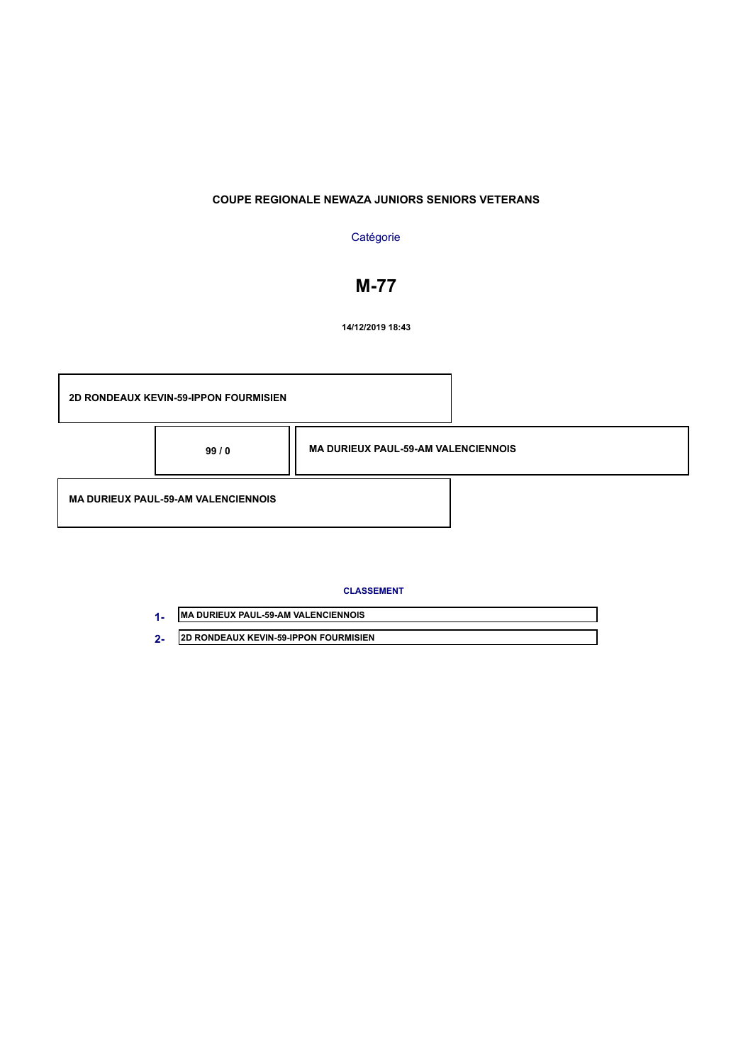# **Catégorie**

# **M-77**

**14/12/2019 18:43**

|                                            | <b>2D RONDEAUX KEVIN-59-IPPON FOURMISIEN</b> |                                            |  |
|--------------------------------------------|----------------------------------------------|--------------------------------------------|--|
|                                            | 99/0                                         | <b>MA DURIEUX PAUL-59-AM VALENCIENNOIS</b> |  |
| <b>MA DURIEUX PAUL-59-AM VALENCIENNOIS</b> |                                              |                                            |  |

| <b>IMA DURIEUX PAUL-59-AM VALENCIENNOIS</b>  |
|----------------------------------------------|
| <b>2D RONDEAUX KEVIN-59-IPPON FOURMISIEN</b> |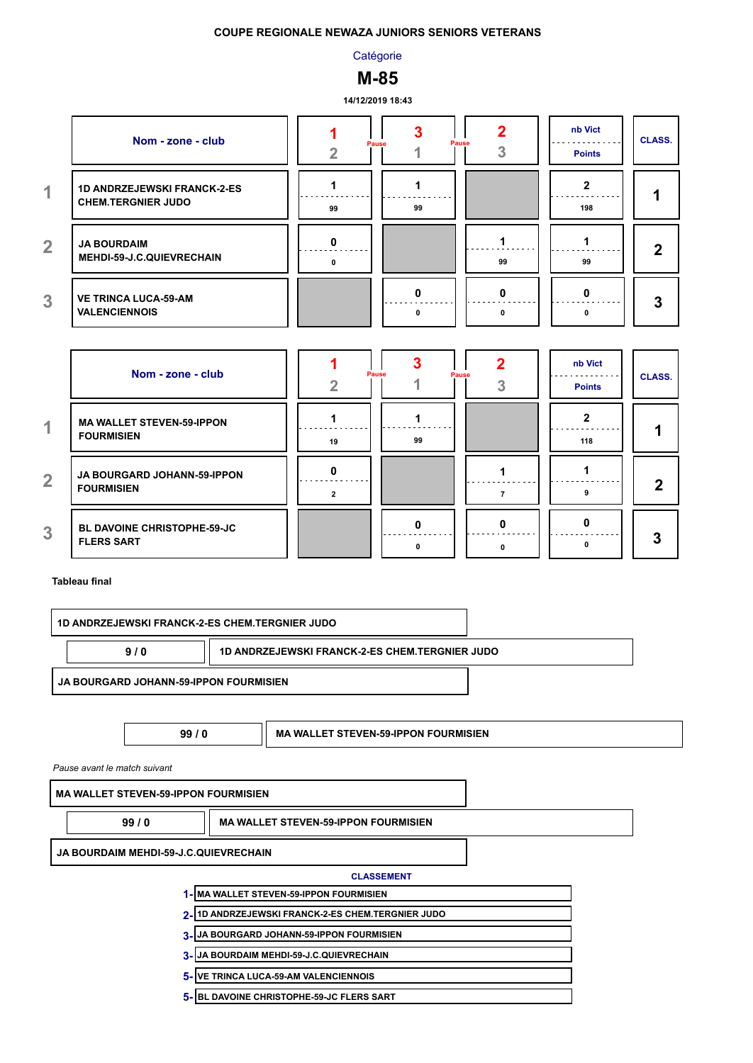**Catégorie** 

# **M-85**

**14/12/2019 18:43**

|                      | Nom - zone - club                                               |    | Pause<br><b>Pause</b> |    | nb Vict<br><b>Points</b> | <b>CLASS.</b> |
|----------------------|-----------------------------------------------------------------|----|-----------------------|----|--------------------------|---------------|
| $\blacktriangleleft$ | <b>1D ANDRZEJEWSKI FRANCK-2-ES</b><br><b>CHEM.TERGNIER JUDO</b> | 99 | 99                    |    | 198                      |               |
| $\overline{2}$       | <b>JA BOURDAIM</b><br>MEHDI-59-J.C.QUIEVRECHAIN                 |    |                       | 99 | 99                       | າ             |
| 3                    | <b>VE TRINCA LUCA-59-AM</b><br><b>VALENCIENNOIS</b>             |    | n                     |    |                          | 3             |

|                      | Nom - zone - club                                       |    | Pause | Pause | nb Vict<br><b>Points</b> | <b>CLASS.</b> |
|----------------------|---------------------------------------------------------|----|-------|-------|--------------------------|---------------|
| $\blacktriangleleft$ | <b>MA WALLET STEVEN-59-IPPON</b><br><b>FOURMISIEN</b>   | 19 | 99    |       | 118                      |               |
| $\overline{2}$       | JA BOURGARD JOHANN-59-IPPON<br><b>FOURMISIEN</b>        |    |       |       |                          |               |
| 3                    | <b>BL DAVOINE CHRISTOPHE-59-JC</b><br><b>FLERS SART</b> |    |       |       |                          | 3             |

#### **Tableau final**

| <b>1D ANDRZEJEWSKI FRANCK-2-ES CHEM.TERGNIER JUDO</b> |                                                       |                                             |  |  |  |  |  |
|-------------------------------------------------------|-------------------------------------------------------|---------------------------------------------|--|--|--|--|--|
| 9/0                                                   | <b>1D ANDRZEJEWSKI FRANCK-2-ES CHEM.TERGNIER JUDO</b> |                                             |  |  |  |  |  |
| JA BOURGARD JOHANN-59-IPPON FOURMISIEN                |                                                       |                                             |  |  |  |  |  |
|                                                       |                                                       |                                             |  |  |  |  |  |
|                                                       | 99/0                                                  | <b>MA WALLET STEVEN-59-IPPON FOURMISIEN</b> |  |  |  |  |  |
| Pause avant le match suivant                          |                                                       |                                             |  |  |  |  |  |
| <b>MA WALLET STEVEN-59-IPPON FOURMISIEN</b>           |                                                       |                                             |  |  |  |  |  |
| 99/0                                                  |                                                       | <b>MA WALLET STEVEN-59-IPPON FOURMISIEN</b> |  |  |  |  |  |
| IA BOURSAIM MEURLES LA OUEVREQUAIN                    |                                                       |                                             |  |  |  |  |  |

**JA BOURDAIM MEHDI-59-J.C.QUIEVRECHAIN**

- **MA WALLET STEVEN-59-IPPON FOURMISIEN 1-**
- **1D ANDRZEJEWSKI FRANCK-2-ES CHEM.TERGNIER JUDO 2-**
- **JA BOURGARD JOHANN-59-IPPON FOURMISIEN 3-**
- **JA BOURDAIM MEHDI-59-J.C.QUIEVRECHAIN 3-**
- **VE TRINCA LUCA-59-AM VALENCIENNOIS 5-**
- **BL DAVOINE CHRISTOPHE-59-JC FLERS SART 5-**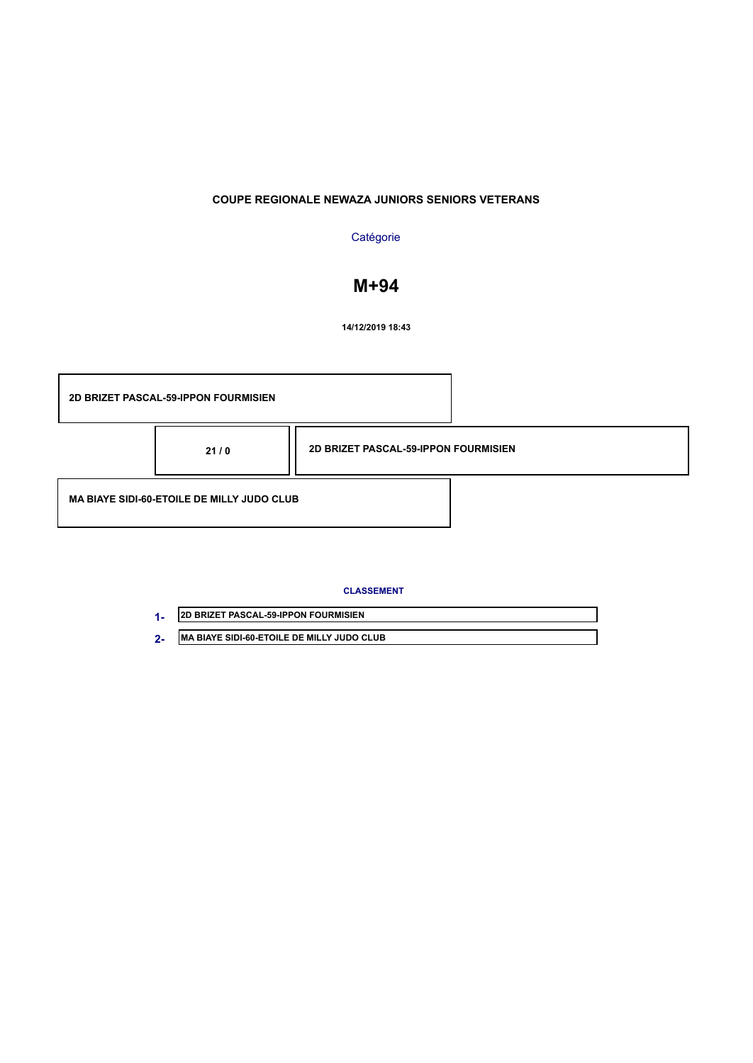# **Catégorie**

# **M+94**

**14/12/2019 18:43**

|                                                   | <b>2D BRIZET PASCAL-59-IPPON FOURMISIEN</b> |                                             |  |
|---------------------------------------------------|---------------------------------------------|---------------------------------------------|--|
|                                                   | 21/0                                        | <b>2D BRIZET PASCAL-59-IPPON FOURMISIEN</b> |  |
| <b>MA BIAYE SIDI-60-ETOILE DE MILLY JUDO CLUB</b> |                                             |                                             |  |

| <b>2D BRIZET PASCAL-59-IPPON FOURMISIEN</b>        |
|----------------------------------------------------|
| <b>IMA BIAYE SIDI-60-ETOILE DE MILLY JUDO CLUB</b> |